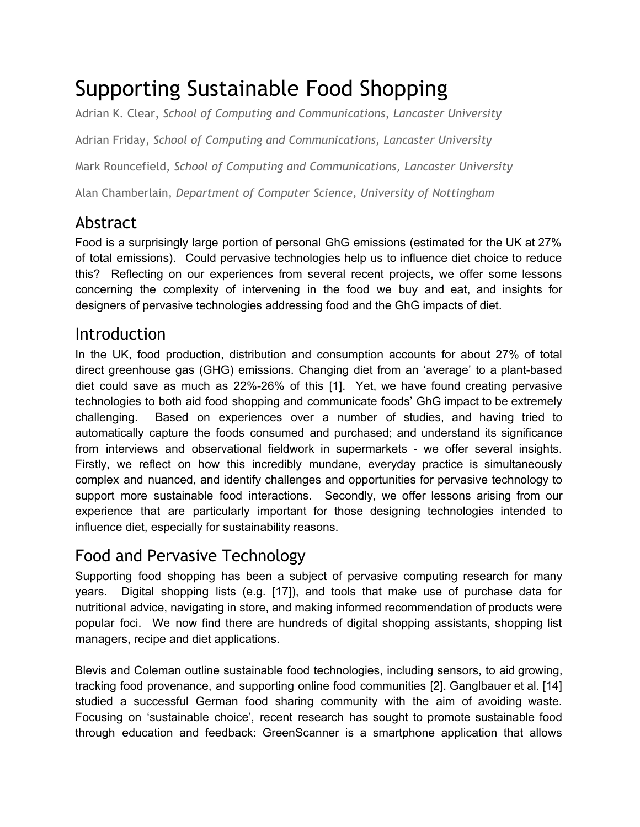# Supporting Sustainable Food Shopping

Adrian K. Clear, *School of Computing and Communications, Lancaster University*

Adrian Friday, *School of Computing and Communications, Lancaster University*

Mark Rouncefield, *School of Computing and Communications, Lancaster University*

Alan Chamberlain, *Department of Computer Science, University of Nottingham*

# Abstract

Food is a surprisingly large portion of personal GhG emissions (estimated for the UK at 27% of total emissions). Could pervasive technologies help us to influence diet choice to reduce this? Reflecting on our experiences from several recent projects, we offer some lessons concerning the complexity of intervening in the food we buy and eat, and insights for designers of pervasive technologies addressing food and the GhG impacts of diet.

### Introduction

In the UK, food production, distribution and consumption accounts for about 27% of total direct greenhouse gas (GHG) emissions. Changing diet from an 'average' to a plantbased diet could save as much as 22%-26% of this [1]. Yet, we have found creating pervasive technologies to both aid food shopping and communicate foods' GhG impact to be extremely challenging. Based on experiences over a number of studies, and having tried to automatically capture the foods consumed and purchased; and understand its significance from interviews and observational fieldwork in supermarkets - we offer several insights. Firstly, we reflect on how this incredibly mundane, everyday practice is simultaneously complex and nuanced, and identify challenges and opportunities for pervasive technology to support more sustainable food interactions. Secondly, we offer lessons arising from our experience that are particularly important for those designing technologies intended to influence diet, especially for sustainability reasons.

### Food and Pervasive Technology

Supporting food shopping has been a subject of pervasive computing research for many years. Digital shopping lists (e.g. [17]), and tools that make use of purchase data for nutritional advice, navigating in store, and making informed recommendation of products were popular foci. We now find there are hundreds of digital shopping assistants, shopping list managers, recipe and diet applications.

Blevis and Coleman outline sustainable food technologies, including sensors, to aid growing, tracking food provenance, and supporting online food communities [2]. Ganglbauer et al. [14] studied a successful German food sharing community with the aim of avoiding waste. Focusing on 'sustainable choice', recent research has sought to promote sustainable food through education and feedback: GreenScanner is a smartphone application that allows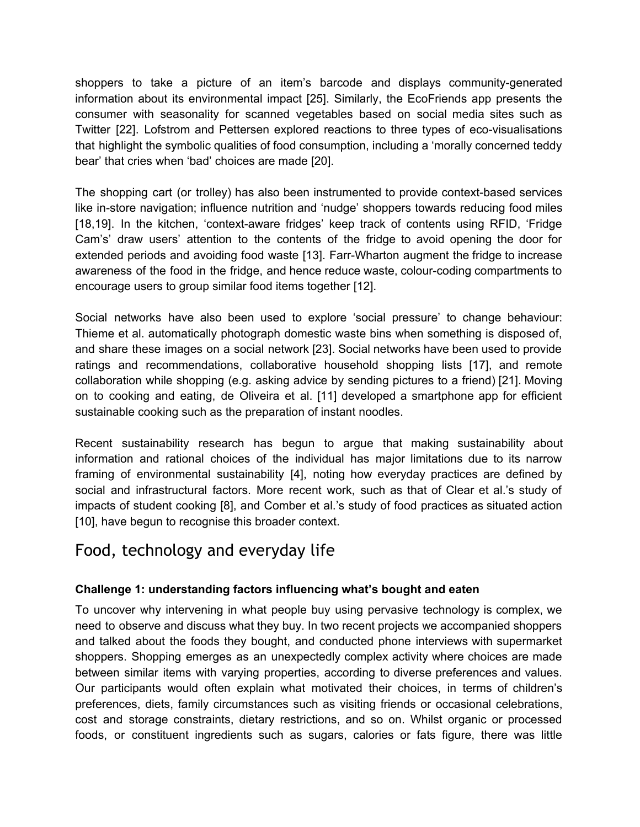shoppers to take a picture of an item's barcode and displays community-generated information about its environmental impact [25]. Similarly, the EcoFriends app presents the consumer with seasonality for scanned vegetables based on social media sites such as Twitter [22]. Lofstrom and Pettersen explored reactions to three types of eco-visualisations that highlight the symbolic qualities of food consumption, including a 'morally concerned teddy bear' that cries when 'bad' choices are made [20].

The shopping cart (or trolley) has also been instrumented to provide context-based services like in-store navigation; influence nutrition and 'nudge' shoppers towards reducing food miles [18,19]. In the kitchen, 'context-aware fridges' keep track of contents using RFID, 'Fridge Cam's' draw users' attention to the contents of the fridge to avoid opening the door for extended periods and avoiding food waste [13]. Farr-Wharton augment the fridge to increase awareness of the food in the fridge, and hence reduce waste, colour-coding compartments to encourage users to group similar food items together [12].

Social networks have also been used to explore 'social pressure' to change behaviour: Thieme et al. automatically photograph domestic waste bins when something is disposed of, and share these images on a social network [23]. Social networks have been used to provide ratings and recommendations, collaborative household shopping lists [17], and remote collaboration while shopping (e.g. asking advice by sending pictures to a friend) [21]. Moving on to cooking and eating, de Oliveira et al. [11] developed a smartphone app for efficient sustainable cooking such as the preparation of instant noodles.

Recent sustainability research has begun to argue that making sustainability about information and rational choices of the individual has major limitations due to its narrow framing of environmental sustainability [4], noting how everyday practices are defined by social and infrastructural factors. More recent work, such as that of Clear et al.'s study of impacts of student cooking [8], and Comber et al.'s study of food practices as situated action [10], have begun to recognise this broader context.

### Food, technology and everyday life

### **Challenge 1: understanding factors influencing what's bought and eaten**

To uncover why intervening in what people buy using pervasive technology is complex, we need to observe and discuss what they buy. In two recent projects we accompanied shoppers and talked about the foods they bought, and conducted phone interviews with supermarket shoppers. Shopping emerges as an unexpectedly complex activity where choices are made between similar items with varying properties, according to diverse preferences and values. Our participants would often explain what motivated their choices, in terms of children's preferences, diets, family circumstances such as visiting friends or occasional celebrations, cost and storage constraints, dietary restrictions, and so on. Whilst organic or processed foods, or constituent ingredients such as sugars, calories or fats figure, there was little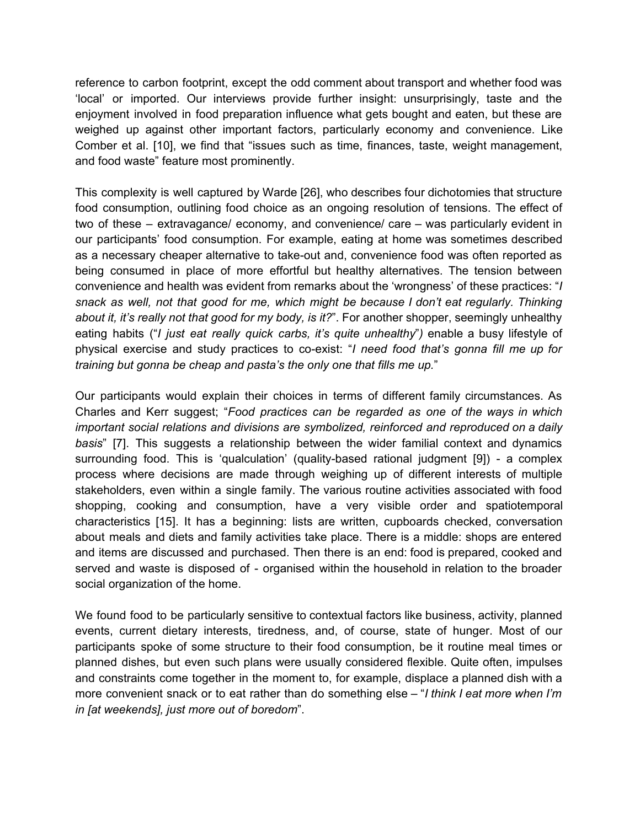reference to carbon footprint, except the odd comment about transport and whether food was 'local' or imported. Our interviews provide further insight: unsurprisingly, taste and the enjoyment involved in food preparation influence what gets bought and eaten, but these are weighed up against other important factors, particularly economy and convenience. Like Comber et al. [10], we find that "issues such as time, finances, taste, weight management, and food waste" feature most prominently.

This complexity is well captured by Warde [26], who describes four dichotomies that structure food consumption, outlining food choice as an ongoing resolution of tensions. The effect of two of these – extravagance/ economy, and convenience/ care – was particularly evident in our participants' food consumption. For example, eating at home was sometimes described as a necessary cheaper alternative to take-out and, convenience food was often reported as being consumed in place of more effortful but healthy alternatives. The tension between convenience and health was evident from remarks about the 'wrongness' of these practices: "*I snack as well, not that good for me, which might be because I don't eat regularly. Thinking about it, it's really not that good for my body, is it?*". For another shopper, seemingly unhealthy eating habits ("*I just eat really quick carbs, it's quite unhealthy*"*)* enable a busy lifestyle of physical exercise and study practices to coexist: "*I need food that's gonna fill me up for training but gonna be cheap and pasta's the only one that fills me up.*"

Our participants would explain their choices in terms of different family circumstances. As Charles and Kerr suggest; "*Food practices can be regarded as one of the ways in which important social relations and divisions are symbolized, reinforced and reproduced on a daily basis*" [7]. This suggests a relationship between the wider familial context and dynamics surrounding food. This is 'qualculation' (quality-based rational judgment [9]) - a complex process where decisions are made through weighing up of different interests of multiple stakeholders, even within a single family. The various routine activities associated with food shopping, cooking and consumption, have a very visible order and spatiotemporal characteristics [15]. It has a beginning: lists are written, cupboards checked, conversation about meals and diets and family activities take place. There is a middle: shops are entered and items are discussed and purchased. Then there is an end: food is prepared, cooked and served and waste is disposed of - organised within the household in relation to the broader social organization of the home.

We found food to be particularly sensitive to contextual factors like business, activity, planned events, current dietary interests, tiredness, and, of course, state of hunger. Most of our participants spoke of some structure to their food consumption, be it routine meal times or planned dishes, but even such plans were usually considered flexible. Quite often, impulses and constraints come together in the moment to, for example, displace a planned dish with a more convenient snack or to eat rather than do something else – "*I think I eat more when I'm in [at weekends], just more out of boredom*".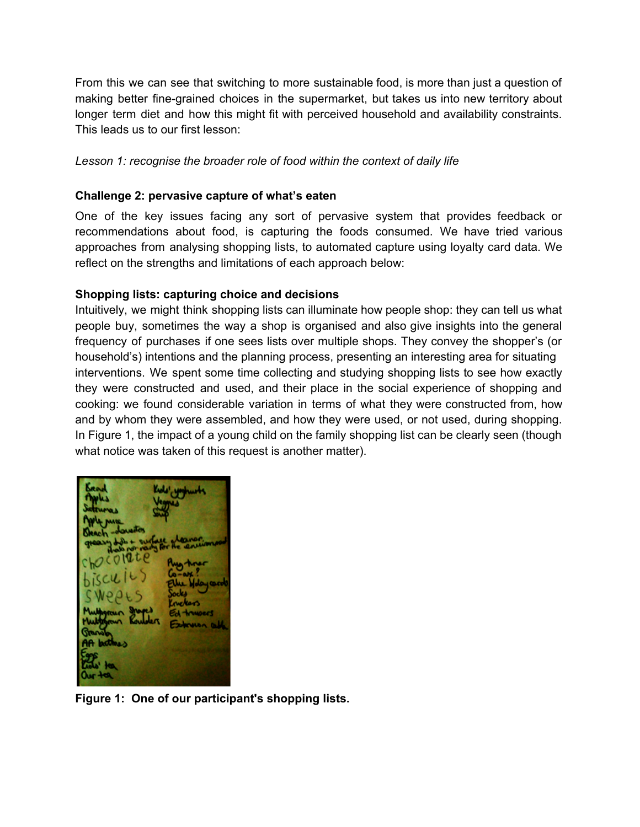From this we can see that switching to more sustainable food, is more than just a question of making better fine-grained choices in the supermarket, but takes us into new territory about longer term diet and how this might fit with perceived household and availability constraints. This leads us to our first lesson:

#### *Lesson 1: recognise the broader role of food within the context of daily life*

#### **Challenge 2: pervasive capture of what's eaten**

One of the key issues facing any sort of pervasive system that provides feedback or recommendations about food, is capturing the foods consumed. We have tried various approaches from analysing shopping lists, to automated capture using loyalty card data. We reflect on the strengths and limitations of each approach below:

#### **Shopping lists: capturing choice and decisions**

Intuitively, we might think shopping lists can illuminate how people shop: they can tell us what people buy, sometimes the way a shop is organised and also give insights into the general frequency of purchases if one sees lists over multiple shops. They convey the shopper's (or household's) intentions and the planning process, presenting an interesting area for situating interventions. We spent some time collecting and studying shopping lists to see how exactly they were constructed and used, and their place in the social experience of shopping and cooking: we found considerable variation in terms of what they were constructed from, how and by whom they were assembled, and how they were used, or not used, during shopping. In Figure 1, the impact of a young child on the family shopping list can be clearly seen (though what notice was taken of this request is another matter).

**Figure 1: One of our participant's shopping lists.**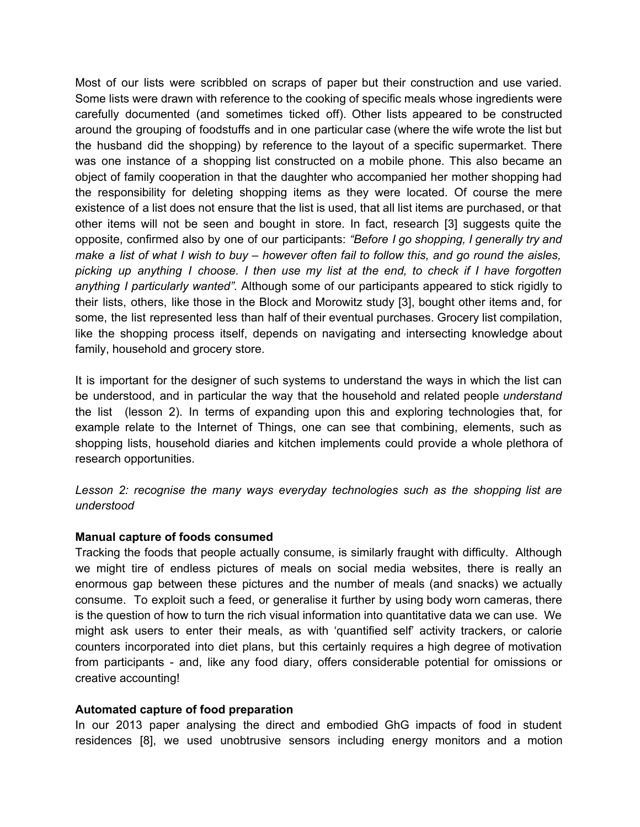Most of our lists were scribbled on scraps of paper but their construction and use varied. Some lists were drawn with reference to the cooking of specific meals whose ingredients were carefully documented (and sometimes ticked off). Other lists appeared to be constructed around the grouping of foodstuffs and in one particular case (where the wife wrote the list but the husband did the shopping) by reference to the layout of a specific supermarket. There was one instance of a shopping list constructed on a mobile phone. This also became an object of family cooperation in that the daughter who accompanied her mother shopping had the responsibility for deleting shopping items as they were located. Of course the mere existence of a list does not ensure that the list is used, that all list items are purchased, or that other items will not be seen and bought in store. In fact, research [3] suggests quite the opposite, confirmed also by one of our participants: *"Before I go shopping, I generally try and* make a list of what I wish to buy  $-$  however often fail to follow this, and go round the aisles, *picking up anything I choose. I then use my list at the end, to check if I have forgotten anything I particularly wanted".* Although some of our participants appeared to stick rigidly to their lists, others, like those in the Block and Morowitz study [3], bought other items and, for some, the list represented less than half of their eventual purchases. Grocery list compilation, like the shopping process itself, depends on navigating and intersecting knowledge about family, household and grocery store.

It is important for the designer of such systems to understand the ways in which the list can be understood, and in particular the way that the household and related people *understand* the list (lesson 2). In terms of expanding upon this and exploring technologies that, for example relate to the Internet of Things, one can see that combining, elements, such as shopping lists, household diaries and kitchen implements could provide a whole plethora of research opportunities.

*Lesson 2: recognise the many ways everyday technologies such as the shopping list are understood*

#### **Manual capture of foods consumed**

Tracking the foods that people actually consume, is similarly fraught with difficulty. Although we might tire of endless pictures of meals on social media websites, there is really an enormous gap between these pictures and the number of meals (and snacks) we actually consume. To exploit such a feed, or generalise it further by using body worn cameras, there is the question of how to turn the rich visual information into quantitative data we can use. We might ask users to enter their meals, as with 'quantified self' activity trackers, or calorie counters incorporated into diet plans, but this certainly requires a high degree of motivation from participants - and, like any food diary, offers considerable potential for omissions or creative accounting!

#### **Automated capture of food preparation**

In our 2013 paper analysing the direct and embodied GhG impacts of food in student residences [8], we used unobtrusive sensors including energy monitors and a motion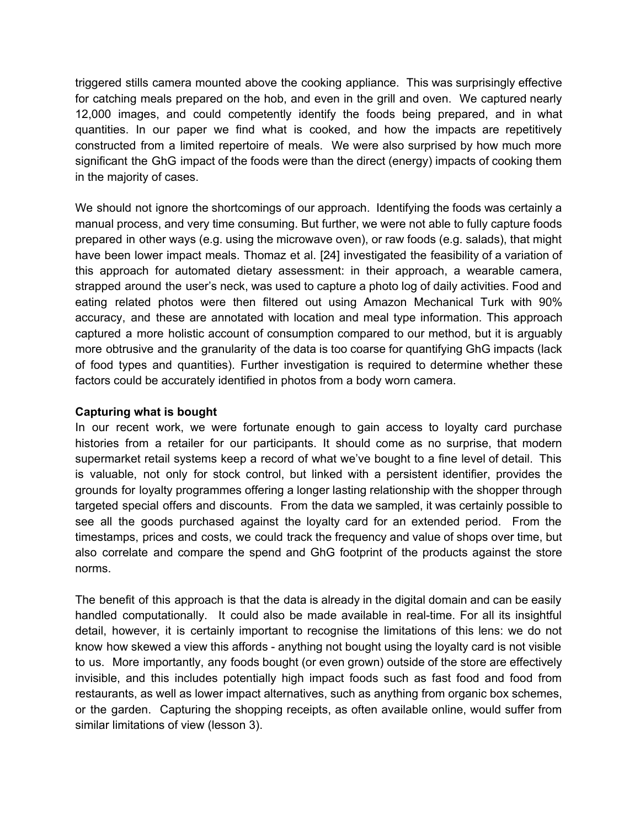triggered stills camera mounted above the cooking appliance. This was surprisingly effective for catching meals prepared on the hob, and even in the grill and oven. We captured nearly 12,000 images, and could competently identify the foods being prepared, and in what quantities. In our paper we find what is cooked, and how the impacts are repetitively constructed from a limited repertoire of meals. We were also surprised by how much more significant the GhG impact of the foods were than the direct (energy) impacts of cooking them in the majority of cases.

We should not ignore the shortcomings of our approach. Identifying the foods was certainly a manual process, and very time consuming. But further, we were not able to fully capture foods prepared in other ways (e.g. using the microwave oven), or raw foods (e.g. salads), that might have been lower impact meals. Thomaz et al. [24] investigated the feasibility of a variation of this approach for automated dietary assessment: in their approach, a wearable camera, strapped around the user's neck, was used to capture a photo log of daily activities. Food and eating related photos were then filtered out using Amazon Mechanical Turk with 90% accuracy, and these are annotated with location and meal type information. This approach captured a more holistic account of consumption compared to our method, but it is arguably more obtrusive and the granularity of the data is too coarse for quantifying GhG impacts (lack of food types and quantities). Further investigation is required to determine whether these factors could be accurately identified in photos from a body worn camera.

#### **Capturing what is bought**

In our recent work, we were fortunate enough to gain access to loyalty card purchase histories from a retailer for our participants. It should come as no surprise, that modern supermarket retail systems keep a record of what we've bought to a fine level of detail. This is valuable, not only for stock control, but linked with a persistent identifier, provides the grounds for loyalty programmes offering a longer lasting relationship with the shopper through targeted special offers and discounts. From the data we sampled, it was certainly possible to see all the goods purchased against the loyalty card for an extended period. From the timestamps, prices and costs, we could track the frequency and value of shops over time, but also correlate and compare the spend and GhG footprint of the products against the store norms.

The benefit of this approach is that the data is already in the digital domain and can be easily handled computationally. It could also be made available in real-time. For all its insightful detail, however, it is certainly important to recognise the limitations of this lens: we do not know how skewed a view this affords - anything not bought using the loyalty card is not visible to us. More importantly, any foods bought (or even grown) outside of the store are effectively invisible, and this includes potentially high impact foods such as fast food and food from restaurants, as well as lower impact alternatives, such as anything from organic box schemes, or the garden. Capturing the shopping receipts, as often available online, would suffer from similar limitations of view (lesson 3).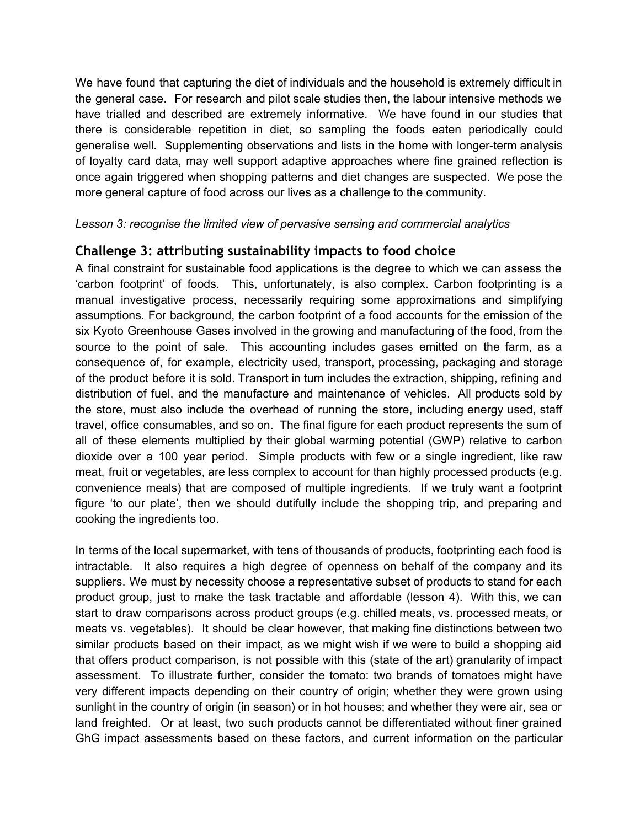We have found that capturing the diet of individuals and the household is extremely difficult in the general case. For research and pilot scale studies then, the labour intensive methods we have trialled and described are extremely informative. We have found in our studies that there is considerable repetition in diet, so sampling the foods eaten periodically could generalise well. Supplementing observations and lists in the home with longer-term analysis of loyalty card data, may well support adaptive approaches where fine grained reflection is once again triggered when shopping patterns and diet changes are suspected. We pose the more general capture of food across our lives as a challenge to the community.

#### *Lesson 3: recognise the limited view of pervasive sensing and commercial analytics*

### **Challenge 3: attributing sustainability impacts to food choice**

A final constraint for sustainable food applications is the degree to which we can assess the 'carbon footprint' of foods. This, unfortunately, is also complex. Carbon footprinting is a manual investigative process, necessarily requiring some approximations and simplifying assumptions. For background, the carbon footprint of a food accounts for the emission of the six Kyoto Greenhouse Gases involved in the growing and manufacturing of the food, from the source to the point of sale. This accounting includes gases emitted on the farm, as a consequence of, for example, electricity used, transport, processing, packaging and storage of the product before it is sold. Transport in turn includes the extraction, shipping, refining and distribution of fuel, and the manufacture and maintenance of vehicles. All products sold by the store, must also include the overhead of running the store, including energy used, staff travel, office consumables, and so on. The final figure for each product represents the sum of all of these elements multiplied by their global warming potential (GWP) relative to carbon dioxide over a 100 year period. Simple products with few or a single ingredient, like raw meat, fruit or vegetables, are less complex to account for than highly processed products (e.g. convenience meals) that are composed of multiple ingredients. If we truly want a footprint figure 'to our plate', then we should dutifully include the shopping trip, and preparing and cooking the ingredients too.

In terms of the local supermarket, with tens of thousands of products, footprinting each food is intractable. It also requires a high degree of openness on behalf of the company and its suppliers. We must by necessity choose a representative subset of products to stand for each product group, just to make the task tractable and affordable (lesson 4). With this, we can start to draw comparisons across product groups (e.g. chilled meats, vs. processed meats, or meats vs. vegetables). It should be clear however, that making fine distinctions between two similar products based on their impact, as we might wish if we were to build a shopping aid that offers product comparison, is not possible with this (state of the art) granularity of impact assessment. To illustrate further, consider the tomato: two brands of tomatoes might have very different impacts depending on their country of origin; whether they were grown using sunlight in the country of origin (in season) or in hot houses; and whether they were air, sea or land freighted. Or at least, two such products cannot be differentiated without finer grained GhG impact assessments based on these factors, and current information on the particular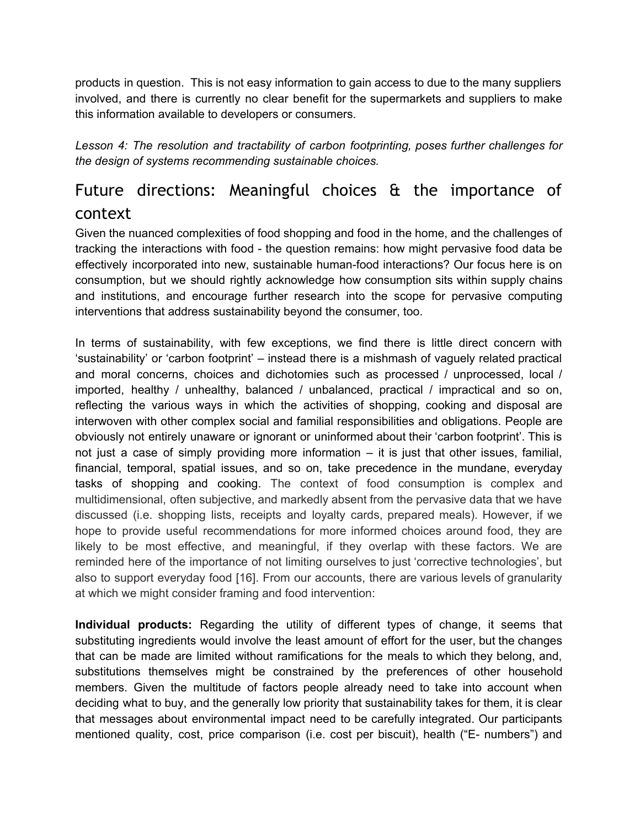products in question. This is not easy information to gain access to due to the many suppliers involved, and there is currently no clear benefit for the supermarkets and suppliers to make this information available to developers or consumers.

*Lesson 4: The resolution and tractability of carbon footprinting, poses further challenges for the design of systems recommending sustainable choices.*

# Future directions: Meaningful choices & the importance of context

Given the nuanced complexities of food shopping and food in the home, and the challenges of tracking the interactions with food - the question remains: how might pervasive food data be effectively incorporated into new, sustainable human-food interactions? Our focus here is on consumption, but we should rightly acknowledge how consumption sits within supply chains and institutions, and encourage further research into the scope for pervasive computing interventions that address sustainability beyond the consumer, too.

In terms of sustainability, with few exceptions, we find there is little direct concern with 'sustainability' or 'carbon footprint' – instead there is a mishmash of vaguely related practical and moral concerns, choices and dichotomies such as processed / unprocessed, local / imported, healthy / unhealthy, balanced / unbalanced, practical / impractical and so on, reflecting the various ways in which the activities of shopping, cooking and disposal are interwoven with other complex social and familial responsibilities and obligations. People are obviously not entirely unaware or ignorant or uninformed about their 'carbon footprint'. This is not just a case of simply providing more information – it is just that other issues, familial, financial, temporal, spatial issues, and so on, take precedence in the mundane, everyday tasks of shopping and cooking. The context of food consumption is complex and multidimensional, often subjective, and markedly absent from the pervasive data that we have discussed (i.e. shopping lists, receipts and loyalty cards, prepared meals). However, if we hope to provide useful recommendations for more informed choices around food, they are likely to be most effective, and meaningful, if they overlap with these factors. We are reminded here of the importance of not limiting ourselves to just 'corrective technologies', but also to support everyday food [16]. From our accounts, there are various levels of granularity at which we might consider framing and food intervention:

**Individual products:** Regarding the utility of different types of change, it seems that substituting ingredients would involve the least amount of effort for the user, but the changes that can be made are limited without ramifications for the meals to which they belong, and, substitutions themselves might be constrained by the preferences of other household members. Given the multitude of factors people already need to take into account when deciding what to buy, and the generally low priority that sustainability takes for them, it is clear that messages about environmental impact need to be carefully integrated. Our participants mentioned quality, cost, price comparison (i.e. cost per biscuit), health ("E- numbers") and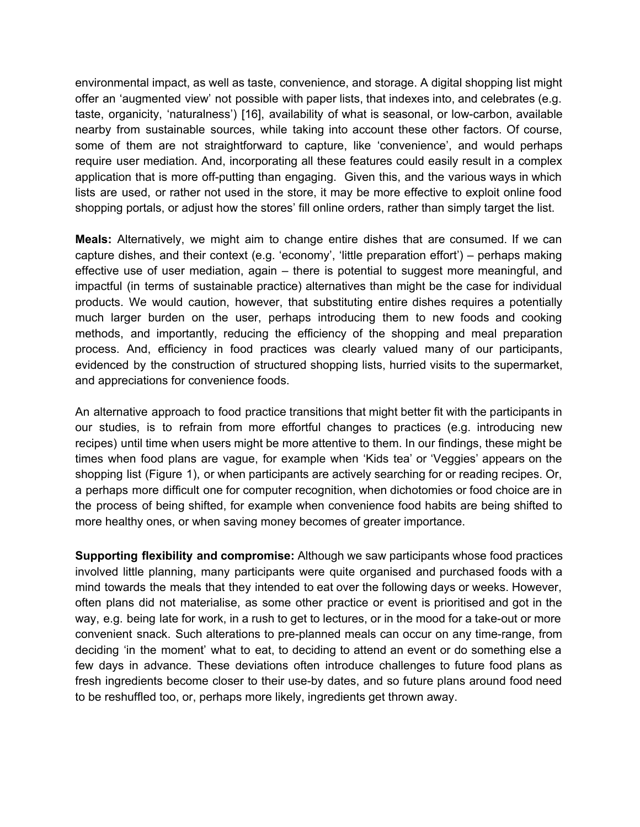environmental impact, as well as taste, convenience, and storage. A digital shopping list might offer an 'augmented view' not possible with paper lists, that indexes into, and celebrates (e.g. taste, organicity, 'naturalness') [16], availability of what is seasonal, or low-carbon, available nearby from sustainable sources, while taking into account these other factors. Of course, some of them are not straightforward to capture, like 'convenience', and would perhaps require user mediation. And, incorporating all these features could easily result in a complex application that is more off-putting than engaging. Given this, and the various ways in which lists are used, or rather not used in the store, it may be more effective to exploit online food shopping portals, or adjust how the stores' fill online orders, rather than simply target the list.

**Meals:** Alternatively, we might aim to change entire dishes that are consumed. If we can capture dishes, and their context (e.g. 'economy', 'little preparation effort') – perhaps making effective use of user mediation, again – there is potential to suggest more meaningful, and impactful (in terms of sustainable practice) alternatives than might be the case for individual products. We would caution, however, that substituting entire dishes requires a potentially much larger burden on the user, perhaps introducing them to new foods and cooking methods, and importantly, reducing the efficiency of the shopping and meal preparation process. And, efficiency in food practices was clearly valued many of our participants, evidenced by the construction of structured shopping lists, hurried visits to the supermarket, and appreciations for convenience foods.

An alternative approach to food practice transitions that might better fit with the participants in our studies, is to refrain from more effortful changes to practices (e.g. introducing new recipes) until time when users might be more attentive to them. In our findings, these might be times when food plans are vague, for example when 'Kids tea' or 'Veggies' appears on the shopping list (Figure 1), or when participants are actively searching for or reading recipes. Or, a perhaps more difficult one for computer recognition, when dichotomies or food choice are in the process of being shifted, for example when convenience food habits are being shifted to more healthy ones, or when saving money becomes of greater importance.

**Supporting flexibility and compromise:** Although we saw participants whose food practices involved little planning, many participants were quite organised and purchased foods with a mind towards the meals that they intended to eat over the following days or weeks. However, often plans did not materialise, as some other practice or event is prioritised and got in the way, e.g. being late for work, in a rush to get to lectures, or in the mood for a take-out or more convenient snack. Such alterations to pre-planned meals can occur on any time-range, from deciding 'in the moment' what to eat, to deciding to attend an event or do something else a few days in advance. These deviations often introduce challenges to future food plans as fresh ingredients become closer to their use-by dates, and so future plans around food need to be reshuffled too, or, perhaps more likely, ingredients get thrown away.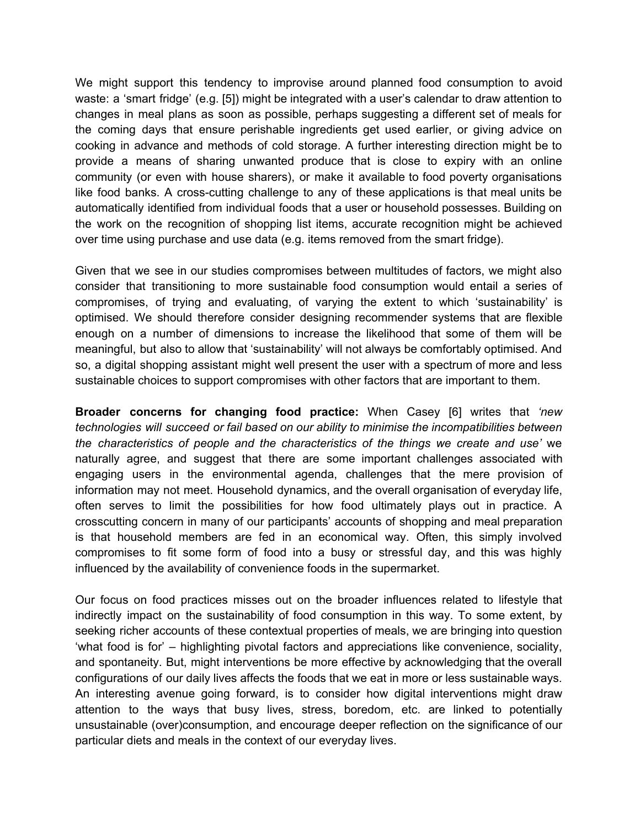We might support this tendency to improvise around planned food consumption to avoid waste: a 'smart fridge' (e.g. [5]) might be integrated with a user's calendar to draw attention to changes in meal plans as soon as possible, perhaps suggesting a different set of meals for the coming days that ensure perishable ingredients get used earlier, or giving advice on cooking in advance and methods of cold storage. A further interesting direction might be to provide a means of sharing unwanted produce that is close to expiry with an online community (or even with house sharers), or make it available to food poverty organisations like food banks. A cross-cutting challenge to any of these applications is that meal units be automatically identified from individual foods that a user or household possesses. Building on the work on the recognition of shopping list items, accurate recognition might be achieved over time using purchase and use data (e.g. items removed from the smart fridge).

Given that we see in our studies compromises between multitudes of factors, we might also consider that transitioning to more sustainable food consumption would entail a series of compromises, of trying and evaluating, of varying the extent to which 'sustainability' is optimised. We should therefore consider designing recommender systems that are flexible enough on a number of dimensions to increase the likelihood that some of them will be meaningful, but also to allow that 'sustainability' will not always be comfortably optimised. And so, a digital shopping assistant might well present the user with a spectrum of more and less sustainable choices to support compromises with other factors that are important to them.

**Broader concerns for changing food practice:** When Casey [6] writes that *'new technologies will succeed or fail based on our ability to minimise the incompatibilities between the characteristics of people and the characteristics of the things we create and use'* we naturally agree, and suggest that there are some important challenges associated with engaging users in the environmental agenda, challenges that the mere provision of information may not meet. Household dynamics, and the overall organisation of everyday life, often serves to limit the possibilities for how food ultimately plays out in practice. A crosscutting concern in many of our participants' accounts of shopping and meal preparation is that household members are fed in an economical way. Often, this simply involved compromises to fit some form of food into a busy or stressful day, and this was highly influenced by the availability of convenience foods in the supermarket.

Our focus on food practices misses out on the broader influences related to lifestyle that indirectly impact on the sustainability of food consumption in this way. To some extent, by seeking richer accounts of these contextual properties of meals, we are bringing into question 'what food is for' – highlighting pivotal factors and appreciations like convenience, sociality, and spontaneity. But, might interventions be more effective by acknowledging that the overall configurations of our daily lives affects the foods that we eat in more or less sustainable ways. An interesting avenue going forward, is to consider how digital interventions might draw attention to the ways that busy lives, stress, boredom, etc. are linked to potentially unsustainable (over)consumption, and encourage deeper reflection on the significance of our particular diets and meals in the context of our everyday lives.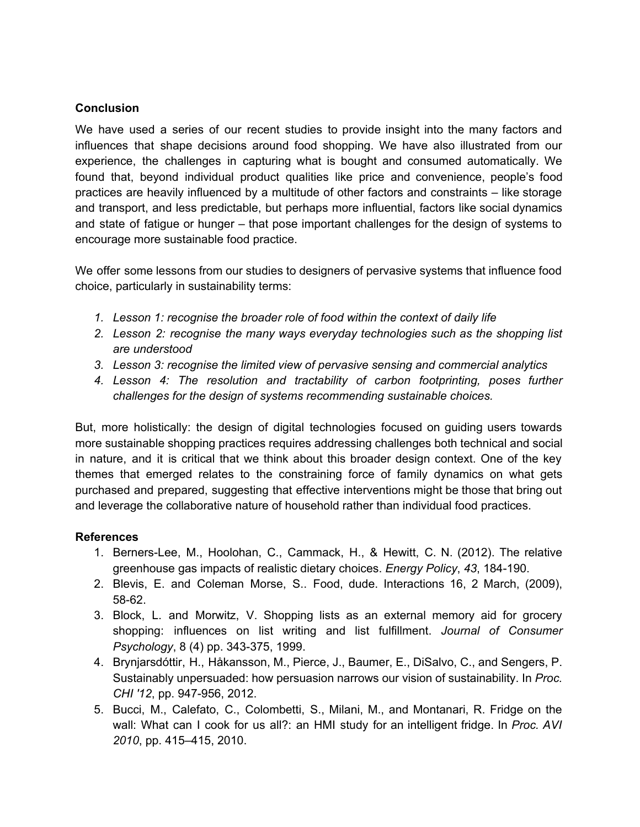#### **Conclusion**

We have used a series of our recent studies to provide insight into the many factors and influences that shape decisions around food shopping. We have also illustrated from our experience, the challenges in capturing what is bought and consumed automatically. We found that, beyond individual product qualities like price and convenience, people's food practices are heavily influenced by a multitude of other factors and constraints – like storage and transport, and less predictable, but perhaps more influential, factors like social dynamics and state of fatigue or hunger – that pose important challenges for the design of systems to encourage more sustainable food practice.

We offer some lessons from our studies to designers of pervasive systems that influence food choice, particularly in sustainability terms:

- *1. Lesson 1: recognise the broader role of food within the context of daily life*
- *2. Lesson 2: recognise the many ways everyday technologies such as the shopping list are understood*
- *3. Lesson 3: recognise the limited view of pervasive sensing and commercial analytics*
- *4. Lesson 4: The resolution and tractability of carbon footprinting, poses further challenges for the design of systems recommending sustainable choices.*

But, more holistically: the design of digital technologies focused on guiding users towards more sustainable shopping practices requires addressing challenges both technical and social in nature, and it is critical that we think about this broader design context. One of the key themes that emerged relates to the constraining force of family dynamics on what gets purchased and prepared, suggesting that effective interventions might be those that bring out and leverage the collaborative nature of household rather than individual food practices.

#### **References**

- 1. BernersLee, M., Hoolohan, C., Cammack, H., & Hewitt, C. N. (2012). The relative greenhouse gas impacts of realistic dietary choices. *Energy Policy*, 43, 184-190.
- 2. Blevis, E. and Coleman Morse, S.. Food, dude. Interactions 16, 2 March, (2009), 58-62.
- 3. Block, L. and Morwitz, V. Shopping lists as an external memory aid for grocery shopping: influences on list writing and list fulfillment. *Journal of Consumer Psychology*, 8 (4) pp. 343-375, 1999.
- 4. Brynjarsdóttir, H., Håkansson, M., Pierce, J., Baumer, E., DiSalvo, C., and Sengers, P. Sustainably unpersuaded: how persuasion narrows our vision of sustainability. In *Proc. CHI* '12, pp. 947-956, 2012.
- 5. Bucci, M., Calefato, C., Colombetti, S., Milani, M., and Montanari, R. Fridge on the wall: What can I cook for us all?: an HMI study for an intelligent fridge. In *Proc. AVI 2010*, pp. 415–415, 2010.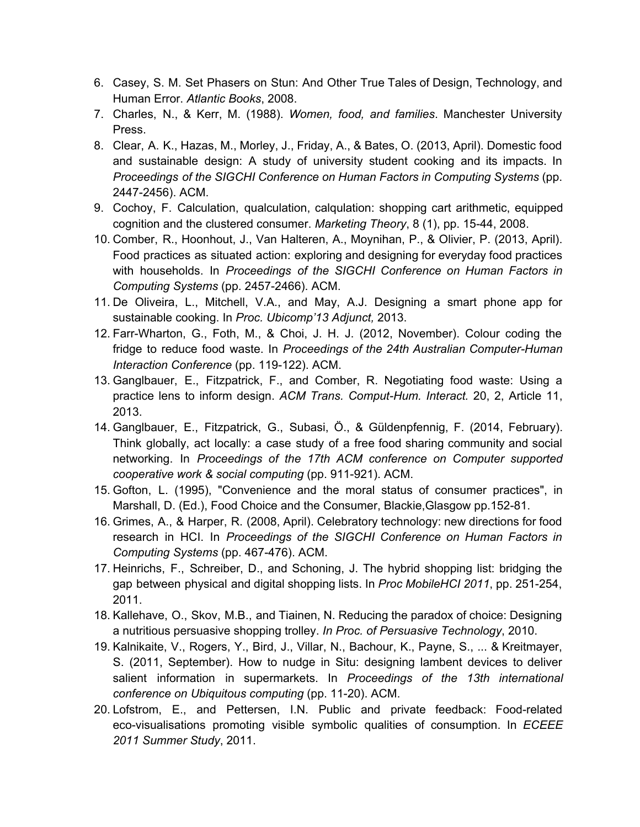- 6. Casey, S. M. Set Phasers on Stun: And Other True Tales of Design, Technology, and Human Error. *Atlantic Books*, 2008.
- 7. Charles, N., & Kerr, M. (1988). *Women, food, and families*. Manchester University Press.
- 8. Clear, A. K., Hazas, M., Morley, J., Friday, A., & Bates, O. (2013, April). Domestic food and sustainable design: A study of university student cooking and its impacts. In *Proceedings of the SIGCHI Conference on Human Factors in Computing Systems* (pp. 2447-2456). ACM.
- 9. Cochoy, F. Calculation, qualculation, calqulation: shopping cart arithmetic, equipped cognition and the clustered consumer. *Marketing Theory*, 8 (1), pp. 1544, 2008.
- 10. Comber, R., Hoonhout, J., Van Halteren, A., Moynihan, P., & Olivier, P. (2013, April). Food practices as situated action: exploring and designing for everyday food practices with households. In *Proceedings of the SIGCHI Conference on Human Factors in Computing Systems* (pp. 2457-2466). ACM.
- 11. De Oliveira, L., Mitchell, V.A., and May, A.J. Designing a smart phone app for sustainable cooking. In *Proc. Ubicomp'13 Adjunct,* 2013.
- 12. Farr-Wharton, G., Foth, M., & Choi, J. H. J. (2012, November). Colour coding the fridge to reduce food waste. In *Proceedings of the 24th Australian Computer-Human Interaction Conference* (pp. 119-122). ACM.
- 13. Ganglbauer, E., Fitzpatrick, F., and Comber, R. Negotiating food waste: Using a practice lens to inform design. ACM Trans. Comput-Hum. Interact. 20, 2, Article 11, 2013.
- 14. Ganglbauer, E., Fitzpatrick, G., Subasi, Ö., & Güldenpfennig, F. (2014, February). Think globally, act locally: a case study of a free food sharing community and social networking. In *Proceedings of the 17th ACM conference on Computer supported cooperative work & social computing* (pp. 911921). ACM.
- 15. Gofton, L. (1995), "Convenience and the moral status of consumer practices", in Marshall, D. (Ed.), Food Choice and the Consumer, Blackie, Glasgow pp.152-81.
- 16. Grimes, A., & Harper, R. (2008, April). Celebratory technology: new directions for food research in HCI. In *Proceedings of the SIGCHI Conference on Human Factors in Computing Systems* (pp. 467-476). ACM.
- 17. Heinrichs, F., Schreiber, D., and Schoning, J. The hybrid shopping list: bridging the gap between physical and digital shopping lists. In *Proc MobileHCI* 2011, pp. 251-254, 2011.
- 18. Kallehave, O., Skov, M.B., and Tiainen, N. Reducing the paradox of choice: Designing a nutritious persuasive shopping trolley. *In Proc. of Persuasive Technology*, 2010.
- 19. Kalnikaite, V., Rogers, Y., Bird, J., Villar, N., Bachour, K., Payne, S., ... & Kreitmayer, S. (2011, September). How to nudge in Situ: designing lambent devices to deliver salient information in supermarkets. In *Proceedings of the 13th international conference on Ubiquitous computing* (pp. 11-20). ACM.
- 20. Lofstrom, E., and Pettersen, I.N. Public and private feedback: Food-related eco-visualisations promoting visible symbolic qualities of consumption. In *ECEEE 2011 Summer Study*, 2011.